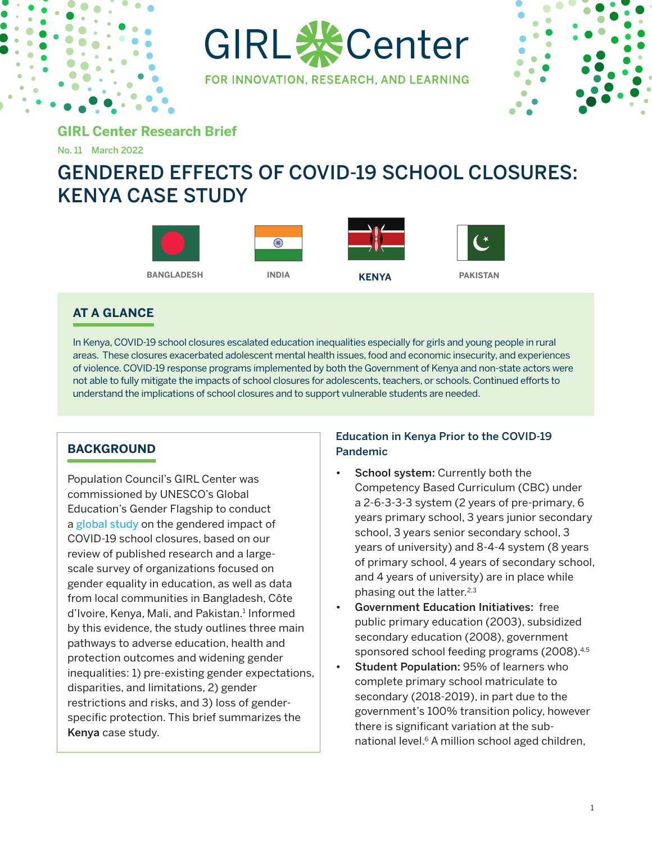

GIRL & Center

FOR INNOVATION, RESEARCH, AND LEARNING



**GIRL Center Research Brief**

No. 11 March 2022

# GENDERED EFFECTS OF COVID-19 SCHOOL CLOSURES: KENYA CASE STUDY



# **AT A GLANCE**

In Kenya, COVID-19 school closures escalated education inequalities especially for girls and young people in rural areas. These closures exacerbated adolescent mental health issues, food and economic insecurity, and experiences of violence. COVID-19 response programs implemented by both the Government of Kenya and non-state actors were not able to fully mitigate the impacts of school closures for adolescents, teachers, or schools. Continued efforts to understand the implications of school closures and to support vulnerable students are needed.

# **BACKGROUND**

Population Council's GIRL Center was commissioned by UNESCO's Global Education's Gender Flagship to conduct a [global study](https://unesdoc.unesco.org/ark:/48223/pf0000379270) on the gendered impact of COVID-19 school closures, based on our review of published research and a largescale survey of organizations focused on gender equality in education, as well as data from local communities in Bangladesh, Côte d'Ivoire, Kenya, Mali, and Pakistan.<sup>1</sup> Informed by this evidence, the study outlines three main pathways to adverse education, health and protection outcomes and widening gender inequalities: 1) pre-existing gender expectations, disparities, and limitations, 2) gender restrictions and risks, and 3) loss of genderspecific protection. This brief summarizes the Kenya case study.

# Education in Kenya Prior to the COVID-19 Pandemic

- School system: Currently both the Competency Based Curriculum (CBC) under a 2-6-3-3-3 system (2 years of pre-primary, 6 years primary school, 3 years junior secondary school, 3 years senior secondary school, 3 years of university) and 8-4-4 system (8 years of primary school, 4 years of secondary school, and 4 years of university) are in place while phasing out the latter.<sup>2,3</sup>
- Government Education Initiatives: free public primary education (2003), subsidized secondary education (2008), government sponsored school feeding programs (2008).<sup>4,5</sup>
- Student Population: 95% of learners who complete primary school matriculate to secondary (2018-2019), in part due to the government's 100% transition policy, however there is significant variation at the subnational level.<sup>6</sup> A million school aged children,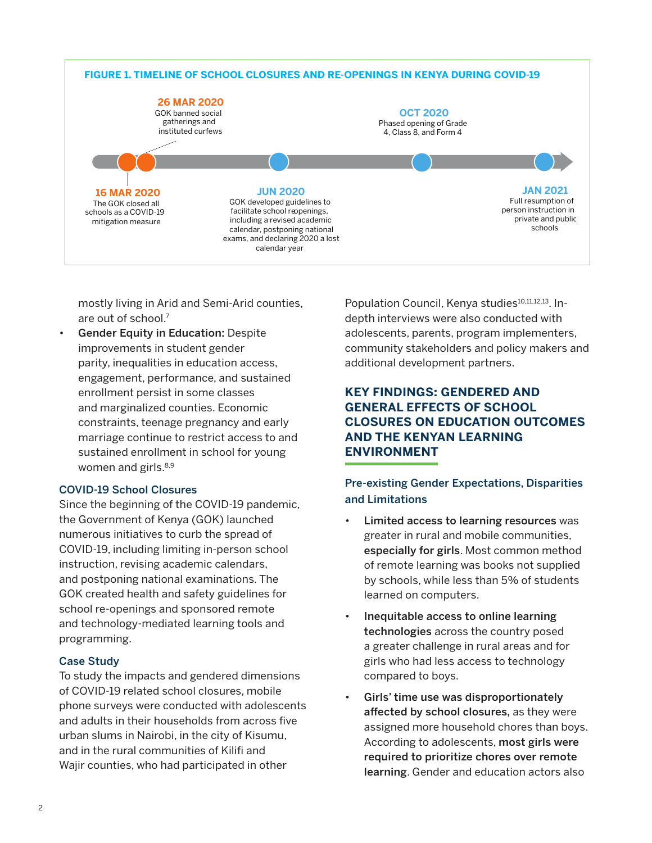

mostly living in Arid and Semi-Arid counties, are out of school.7

Gender Equity in Education: Despite improvements in student gender parity, inequalities in education access, engagement, performance, and sustained enrollment persist in some classes and marginalized counties. Economic constraints, teenage pregnancy and early marriage continue to restrict access to and sustained enrollment in school for young women and girls.<sup>8,9</sup>

## COVID-19 School Closures

Since the beginning of the COVID-19 pandemic, the Government of Kenya (GOK) launched numerous initiatives to curb the spread of COVID-19, including limiting in-person school instruction, revising academic calendars, and postponing national examinations. The GOK created health and safety guidelines for school re-openings and sponsored remote and technology-mediated learning tools and programming.

## Case Study

To study the impacts and gendered dimensions of COVID-19 related school closures, mobile phone surveys were conducted with adolescents and adults in their households from across five urban slums in Nairobi, in the city of Kisumu, and in the rural communities of Kilifi and Wajir counties, who had participated in other

Population Council, Kenya studies<sup>10,11,12,13</sup>. Indepth interviews were also conducted with adolescents, parents, program implementers, community stakeholders and policy makers and additional development partners.

## **KEY FINDINGS: GENDERED AND GENERAL EFFECTS OF SCHOOL CLOSURES ON EDUCATION OUTCOMES AND THE KENYAN LEARNING ENVIRONMENT**

## Pre-existing Gender Expectations, Disparities and Limitations

- Limited access to learning resources was greater in rural and mobile communities, especially for girls. Most common method of remote learning was books not supplied by schools, while less than 5% of students learned on computers.
- Inequitable access to online learning technologies across the country posed a greater challenge in rural areas and for girls who had less access to technology compared to boys.
- Girls' time use was disproportionately affected by school closures, as they were assigned more household chores than boys. According to adolescents, most girls were required to prioritize chores over remote learning. Gender and education actors also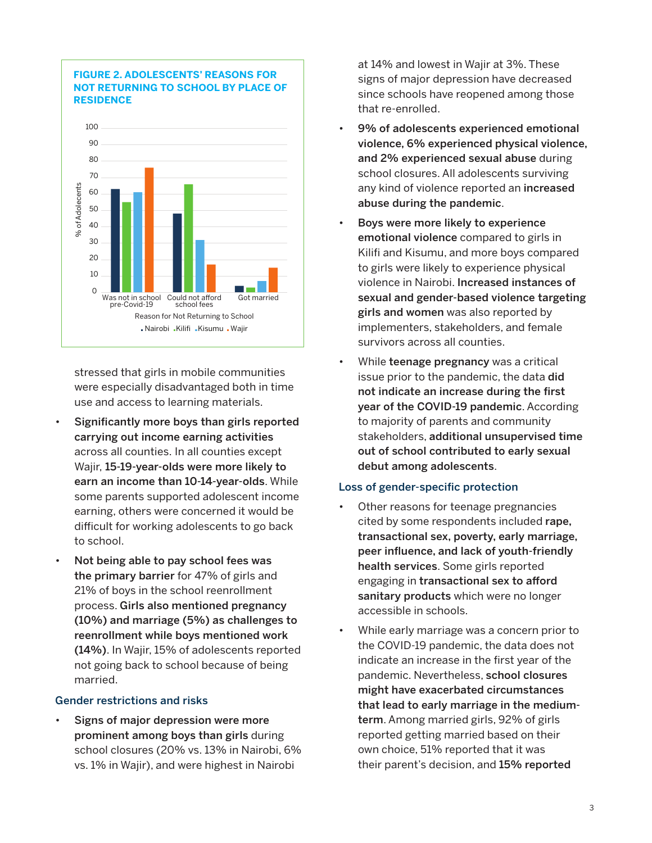

**FIGURE 2. ADOLESCENTS' REASONS FOR NOT RETURNING TO SCHOOL BY PLACE OF RESIDENCE** 

stressed that girls in mobile communities were especially disadvantaged both in time use and access to learning materials.

- Significantly more boys than girls reported carrying out income earning activities across all counties. In all counties except Wajir, 15-19-year-olds were more likely to earn an income than 10-14-year-olds. While some parents supported adolescent income earning, others were concerned it would be difficult for working adolescents to go back to school.
- Not being able to pay school fees was the primary barrier for 47% of girls and 21% of boys in the school reenrollment process. Girls also mentioned pregnancy (10%) and marriage (5%) as challenges to reenrollment while boys mentioned work (14%). In Wajir, 15% of adolescents reported not going back to school because of being married.

### Gender restrictions and risks

Signs of major depression were more prominent among boys than girls during school closures (20% vs. 13% in Nairobi, 6% vs. 1% in Wajir), and were highest in Nairobi

at 14% and lowest in Wajir at 3%. These signs of major depression have decreased since schools have reopened among those that re-enrolled.

- 9% of adolescents experienced emotional violence, 6% experienced physical violence, and 2% experienced sexual abuse during school closures. All adolescents surviving any kind of violence reported an increased abuse during the pandemic.
- Boys were more likely to experience emotional violence compared to girls in Kilifi and Kisumu, and more boys compared to girls were likely to experience physical violence in Nairobi. Increased instances of sexual and gender-based violence targeting girls and women was also reported by implementers, stakeholders, and female survivors across all counties.
- While **teenage pregnancy** was a critical issue prior to the pandemic, the data did not indicate an increase during the first year of the COVID-19 pandemic. According to majority of parents and community stakeholders, additional unsupervised time out of school contributed to early sexual debut among adolescents.

## Loss of gender-specific protection

- Other reasons for teenage pregnancies cited by some respondents included rape, transactional sex, poverty, early marriage, peer influence, and lack of youth-friendly health services. Some girls reported engaging in transactional sex to afford sanitary products which were no longer accessible in schools.
- While early marriage was a concern prior to the COVID-19 pandemic, the data does not indicate an increase in the first year of the pandemic. Nevertheless, school closures might have exacerbated circumstances that lead to early marriage in the mediumterm. Among married girls, 92% of girls reported getting married based on their own choice, 51% reported that it was their parent's decision, and 15% reported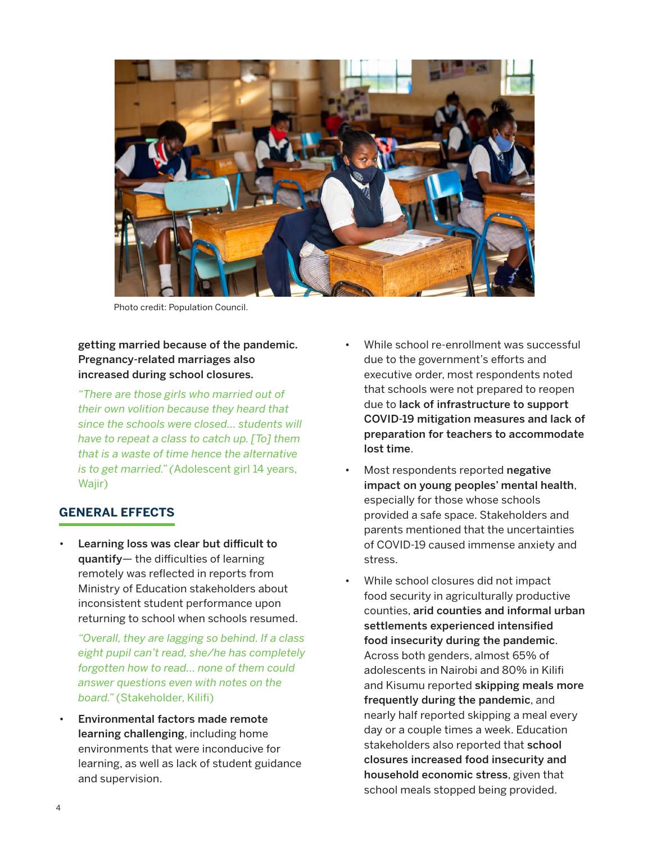

Photo credit: Population Council.

## getting married because of the pandemic. Pregnancy-related marriages also increased during school closures.

*"There are those girls who married out of their own volition because they heard that since the schools were closed… students will have to repeat a class to catch up. [To] them that is a waste of time hence the alternative is to get married." (*Adolescent girl 14 years, Wajir)

## **GENERAL EFFECTS**

Learning loss was clear but difficult to quantify— the difficulties of learning remotely was reflected in reports from Ministry of Education stakeholders about inconsistent student performance upon returning to school when schools resumed.

*"Overall, they are lagging so behind. If a class eight pupil can't read, she/he has completely forgotten how to read... none of them could answer questions even with notes on the board."* (Stakeholder, Kilifi)

• Environmental factors made remote learning challenging, including home environments that were inconducive for learning, as well as lack of student guidance and supervision.

- While school re-enrollment was successful due to the government's efforts and executive order, most respondents noted that schools were not prepared to reopen due to lack of infrastructure to support COVID-19 mitigation measures and lack of preparation for teachers to accommodate lost time.
- Most respondents reported negative impact on young peoples' mental health, especially for those whose schools provided a safe space. Stakeholders and parents mentioned that the uncertainties of COVID-19 caused immense anxiety and stress.
- While school closures did not impact food security in agriculturally productive counties, arid counties and informal urban settlements experienced intensified food insecurity during the pandemic. Across both genders, almost 65% of adolescents in Nairobi and 80% in Kilifi and Kisumu reported skipping meals more frequently during the pandemic, and nearly half reported skipping a meal every day or a couple times a week. Education stakeholders also reported that school closures increased food insecurity and household economic stress, given that school meals stopped being provided.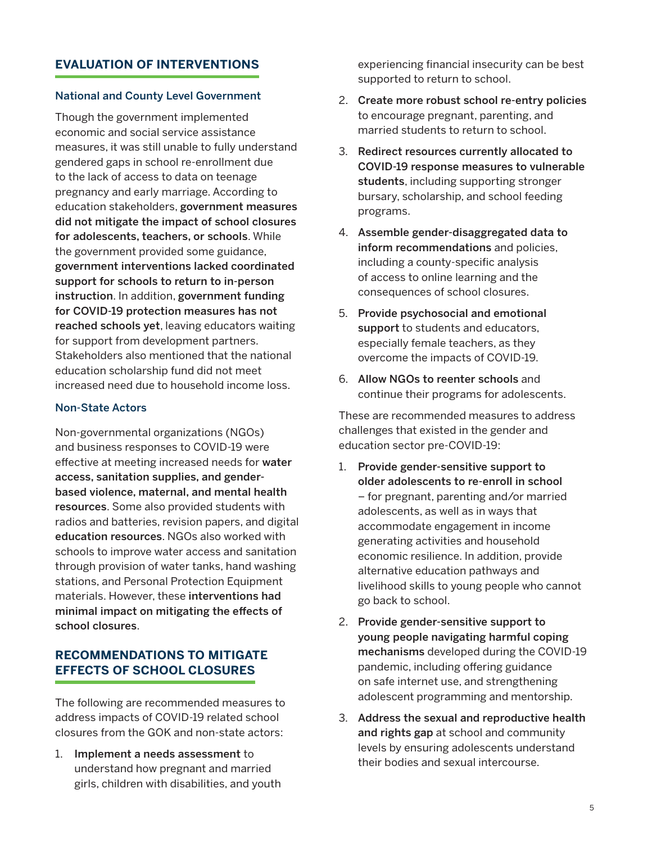## **EVALUATION OF INTERVENTIONS**

### National and County Level Government

Though the government implemented economic and social service assistance measures, it was still unable to fully understand gendered gaps in school re-enrollment due to the lack of access to data on teenage pregnancy and early marriage. According to education stakeholders, government measures did not mitigate the impact of school closures for adolescents, teachers, or schools. While the government provided some guidance, government interventions lacked coordinated support for schools to return to in-person instruction. In addition, government funding for COVID-19 protection measures has not reached schools yet, leaving educators waiting for support from development partners. Stakeholders also mentioned that the national education scholarship fund did not meet increased need due to household income loss.

#### Non-State Actors

Non-governmental organizations (NGOs) and business responses to COVID-19 were effective at meeting increased needs for water access, sanitation supplies, and genderbased violence, maternal, and mental health resources. Some also provided students with radios and batteries, revision papers, and digital education resources. NGOs also worked with schools to improve water access and sanitation through provision of water tanks, hand washing stations, and Personal Protection Equipment materials. However, these interventions had minimal impact on mitigating the effects of school closures.

# **RECOMMENDATIONS TO MITIGATE EFFECTS OF SCHOOL CLOSURES**

The following are recommended measures to address impacts of COVID-19 related school closures from the GOK and non-state actors:

1. Implement a needs assessment to understand how pregnant and married girls, children with disabilities, and youth experiencing financial insecurity can be best supported to return to school.

- 2. Create more robust school re-entry policies to encourage pregnant, parenting, and married students to return to school.
- 3. Redirect resources currently allocated to COVID-19 response measures to vulnerable students, including supporting stronger bursary, scholarship, and school feeding programs.
- 4. Assemble gender-disaggregated data to inform recommendations and policies, including a county-specific analysis of access to online learning and the consequences of school closures.
- 5. Provide psychosocial and emotional support to students and educators, especially female teachers, as they overcome the impacts of COVID-19.
- 6. Allow NGOs to reenter schools and continue their programs for adolescents.

These are recommended measures to address challenges that existed in the gender and education sector pre-COVID-19:

- 1. Provide gender-sensitive support to older adolescents to re-enroll in school – for pregnant, parenting and/or married adolescents, as well as in ways that accommodate engagement in income generating activities and household economic resilience. In addition, provide alternative education pathways and livelihood skills to young people who cannot go back to school.
- 2. Provide gender-sensitive support to young people navigating harmful coping mechanisms developed during the COVID-19 pandemic, including offering guidance on safe internet use, and strengthening adolescent programming and mentorship.
- 3. Address the sexual and reproductive health and rights gap at school and community levels by ensuring adolescents understand their bodies and sexual intercourse.